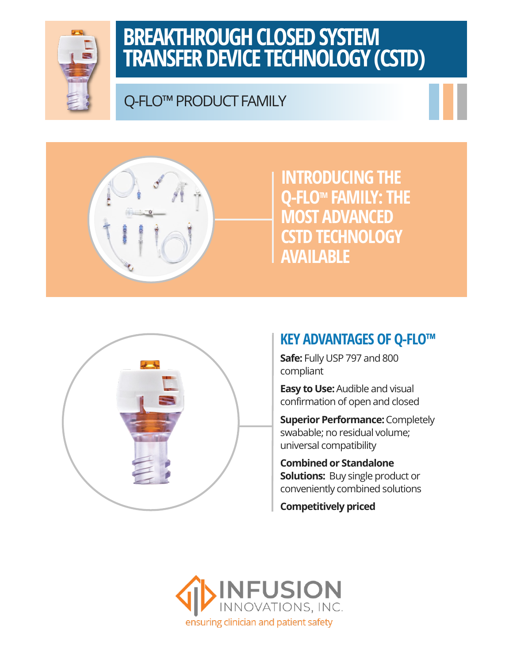

## **BREAKTHROUGH CLOSED SYSTEM TRANSFER DEVICE TECHNOLOGY (CSTD)**

## Q-FLO™ PRODUCT FAMILY





**INTRODUCING THE Q-FLOTM FAMILY: THE MOST ADVANCED CSTD TECHNOLOGY AVAILABLE**



### **KEY ADVANTAGES OF Q-FLO™**

**Safe:** Fully USP 797 and 800 compliant

**Easy to Use:** Audible and visual confirmation of open and closed

**Superior Performance:** Completely swabable; no residual volume; universal compatibility

**Combined or Standalone Solutions:** Buy single product or conveniently combined solutions

**Competitively priced**